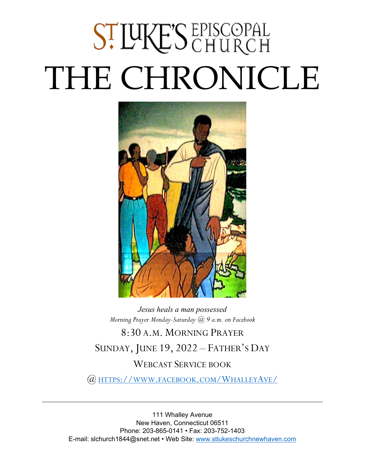# STUKE'S EPISCOPAL THE CHRONICLE



*Jesus heals a man possessed Morning Prayer Monday-Saturday @ 9 a.m. on Facebook*

8:30 A.M. MORNING PRAYER SUNDAY, JUNE 19, 2022 – FATHER'S DAY WEBCAST SERVICE BOOK @ HTTPS://WWW.FACEBOOK.COM/WHALLEYAVE/

111 Whalley Avenue New Haven, Connecticut 06511 Phone: 203-865-0141 • Fax: 203-752-1403 E-mail: slchurch1844@snet.net • Web Site: [www.stlukeschurchnewhaven.com](http://www.stlukeschurchnewhaven.com/)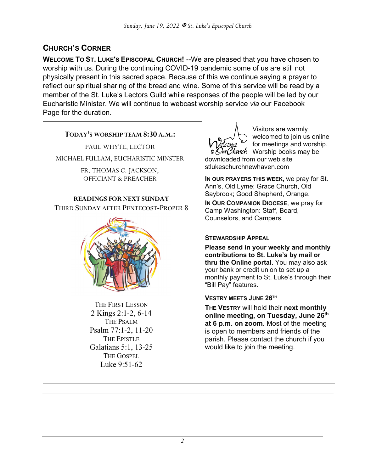### **CHURCH'S CORNER**

**WELCOME TO ST. LUKE'S EPISCOPAL CHURCH!** --We are pleased that you have chosen to worship with us. During the continuing COVID-19 pandemic some of us are still not physically present in this sacred space. Because of this we continue saying a prayer to reflect our spiritual sharing of the bread and wine. Some of this service will be read by a member of the St. Luke's Lectors Guild while responses of the people will be led by our Eucharistic Minister. We will continue to webcast worship service *via* our Facebook Page for the duration.





Visitors are warmly welcomed to join us online for meetings and worship.  $\omega$  *Worship books may be* 

downloaded from our web site [stlukeschurchnewhaven.com](https://www.stlukeschurchnewhaven.com/)

**IN OUR PRAYERS THIS WEEK,** we pray for St. Ann's, Old Lyme; Grace Church, Old Saybrook; Good Shepherd, Orange.

**IN OUR COMPANION DIOCESE**, we pray for Camp Washington: Staff, Board, Counselors, and Campers.

#### **STEWARDSHIP APPEAL**

**Please send in your weekly and monthly contributions to St. Luke's by mail or thru the Online portal**. You may also ask your bank or credit union to set up a monthly payment to St. Luke's through their "Bill Pay" features.

**VESTRY MEETS JUNE 26TH**

**THE VESTRY** will hold their **next monthly online meeting, on Tuesday, June 26th at 6 p.m. on zoom**. Most of the meeting is open to members and friends of the parish. Please contact the church if you would like to join the meeting.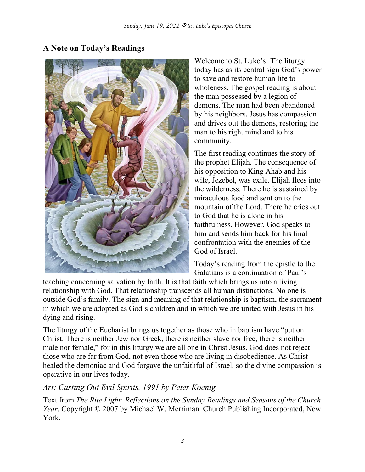

#### **A Note on Today's Readings**

Welcome to St. Luke's! The liturgy today has as its central sign God's power to save and restore human life to wholeness. The gospel reading is about the man possessed by a legion of demons. The man had been abandoned by his neighbors. Jesus has compassion and drives out the demons, restoring the man to his right mind and to his community.

The first reading continues the story of the prophet Elijah. The consequence of his opposition to King Ahab and his wife, Jezebel, was exile. Elijah flees into the wilderness. There he is sustained by miraculous food and sent on to the mountain of the Lord. There he cries out to God that he is alone in his faithfulness. However, God speaks to him and sends him back for his final confrontation with the enemies of the God of Israel.

Today's reading from the epistle to the Galatians is a continuation of Paul's

teaching concerning salvation by faith. It is that faith which brings us into a living relationship with God. That relationship transcends all human distinctions. No one is outside God's family. The sign and meaning of that relationship is baptism, the sacrament in which we are adopted as God's children and in which we are united with Jesus in his dying and rising.

The liturgy of the Eucharist brings us together as those who in baptism have "put on Christ. There is neither Jew nor Greek, there is neither slave nor free, there is neither male nor female," for in this liturgy we are all one in Christ Jesus. God does not reject those who are far from God, not even those who are living in disobedience. As Christ healed the demoniac and God forgave the unfaithful of Israel, so the divine compassion is operative in our lives today.

#### *Art: Casting Out Evil Spirits, 1991 by Peter Koenig*

Text from *The Rite Light: Reflections on the Sunday Readings and Seasons of the Church Year*. Copyright © 2007 by Michael W. Merriman. Church Publishing Incorporated, New York.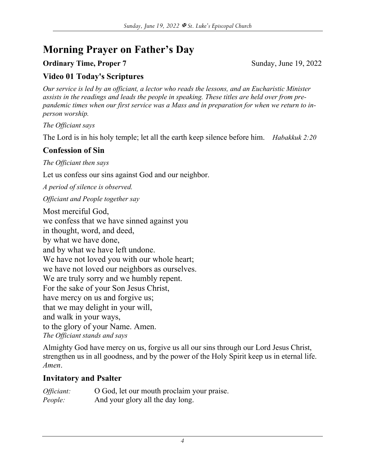# **Morning Prayer on Father's Day**

#### **Ordinary Time, Proper 7** Sunday, June 19, 2022

### **Video 01 Today's Scriptures**

*Our service is led by an officiant, a lector who reads the lessons, and an Eucharistic Minister assists in the readings and leads the people in speaking. These titles are held over from prepandemic times when our first service was a Mass and in preparation for when we return to inperson worship.*

*The Officiant says*

The Lord is in his holy temple; let all the earth keep silence before him. *Habakkuk 2:20*

#### **Confession of Sin**

*The Officiant then says*

Let us confess our sins against God and our neighbor.

*A period of silence is observed.*

*Officiant and People together say*

Most merciful God, we confess that we have sinned against you in thought, word, and deed, by what we have done, and by what we have left undone. We have not loved you with our whole heart; we have not loved our neighbors as ourselves. We are truly sorry and we humbly repent. For the sake of your Son Jesus Christ, have mercy on us and forgive us; that we may delight in your will, and walk in your ways, to the glory of your Name. Amen. *The Officiant stands and says*

Almighty God have mercy on us, forgive us all our sins through our Lord Jesus Christ, strengthen us in all goodness, and by the power of the Holy Spirit keep us in eternal life. *Amen*.

#### **Invitatory and Psalter**

| Officiant: | O God, let our mouth proclaim your praise. |
|------------|--------------------------------------------|
| People:    | And your glory all the day long.           |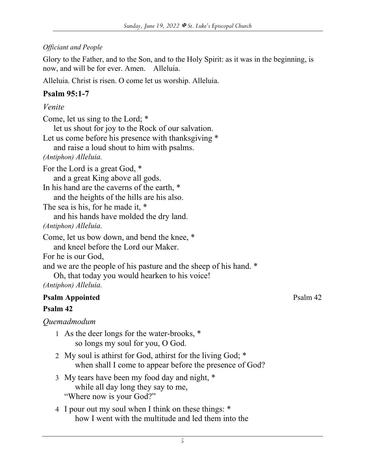#### *Officiant and People*

Glory to the Father, and to the Son, and to the Holy Spirit: as it was in the beginning, is now, and will be for ever. Amen. Alleluia.

Alleluia. Christ is risen. O come let us worship. Alleluia.

#### **Psalm 95:1-7**

| Venite                                                                                                                                                                           |          |
|----------------------------------------------------------------------------------------------------------------------------------------------------------------------------------|----------|
| Come, let us sing to the Lord; *                                                                                                                                                 |          |
| let us shout for joy to the Rock of our salvation.<br>Let us come before his presence with thanks giving *<br>and raise a loud shout to him with psalms.<br>(Antiphon) Alleluia. |          |
| For the Lord is a great God, *<br>and a great King above all gods.<br>In his hand are the caverns of the earth, *<br>and the heights of the hills are his also.                  |          |
| The sea is his, for he made it, *<br>and his hands have molded the dry land.<br>(Antiphon) Alleluia.                                                                             |          |
| Come, let us bow down, and bend the knee, *<br>and kneel before the Lord our Maker.                                                                                              |          |
| For he is our God,                                                                                                                                                               |          |
| and we are the people of his pasture and the sheep of his hand. *<br>Oh, that today you would hearken to his voice!<br>(Antiphon) Alleluia.                                      |          |
| <b>Psalm Appointed</b>                                                                                                                                                           | Psalm 42 |

#### **Psalm 42**

*Quemadmodum*

- 1 As the deer longs for the water-brooks, \* so longs my soul for you, O God.
- 2 My soul is athirst for God, athirst for the living God; \* when shall I come to appear before the presence of God?
- 3 My tears have been my food day and night, \* while all day long they say to me, "Where now is your God?"
- 4 I pour out my soul when I think on these things: \* how I went with the multitude and led them into the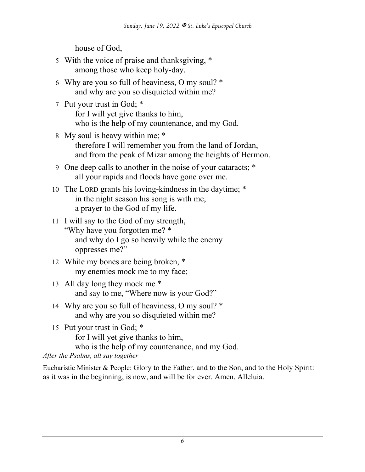house of God,

- 5 With the voice of praise and thanksgiving, \* among those who keep holy-day.
- 6 Why are you so full of heaviness, O my soul? \* and why are you so disquieted within me?
- 7 Put your trust in God; \* for I will yet give thanks to him, who is the help of my countenance, and my God.
- 8 My soul is heavy within me; \* therefore I will remember you from the land of Jordan, and from the peak of Mizar among the heights of Hermon.
- 9 One deep calls to another in the noise of your cataracts; \* all your rapids and floods have gone over me.
- 10 The LORD grants his loving-kindness in the daytime; \* in the night season his song is with me, a prayer to the God of my life.
- 11 I will say to the God of my strength, "Why have you forgotten me? \* and why do I go so heavily while the enemy oppresses me?"
- 12 While my bones are being broken, \* my enemies mock me to my face;
- 13 All day long they mock me \* and say to me, "Where now is your God?"
- 14 Why are you so full of heaviness, O my soul? \* and why are you so disquieted within me?
- 15 Put your trust in God; \* for I will yet give thanks to him, who is the help of my countenance, and my God.

*After the Psalms, all say together*

Eucharistic Minister & People: Glory to the Father, and to the Son, and to the Holy Spirit: as it was in the beginning, is now, and will be for ever. Amen. Alleluia.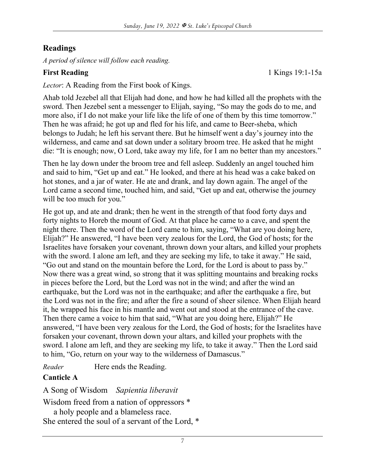## **Readings**

*A period of silence will follow each reading.*

**First Reading** 1 Kings 19:1-15a

*Lector*: A Reading from the First book of Kings.

Ahab told Jezebel all that Elijah had done, and how he had killed all the prophets with the sword. Then Jezebel sent a messenger to Elijah, saying, "So may the gods do to me, and more also, if I do not make your life like the life of one of them by this time tomorrow." Then he was afraid; he got up and fled for his life, and came to Beer-sheba, which belongs to Judah; he left his servant there. But he himself went a day's journey into the wilderness, and came and sat down under a solitary broom tree. He asked that he might die: "It is enough; now, O Lord, take away my life, for I am no better than my ancestors."

Then he lay down under the broom tree and fell asleep. Suddenly an angel touched him and said to him, "Get up and eat." He looked, and there at his head was a cake baked on hot stones, and a jar of water. He ate and drank, and lay down again. The angel of the Lord came a second time, touched him, and said, "Get up and eat, otherwise the journey will be too much for you."

He got up, and ate and drank; then he went in the strength of that food forty days and forty nights to Horeb the mount of God. At that place he came to a cave, and spent the night there. Then the word of the Lord came to him, saying, "What are you doing here, Elijah?" He answered, "I have been very zealous for the Lord, the God of hosts; for the Israelites have forsaken your covenant, thrown down your altars, and killed your prophets with the sword. I alone am left, and they are seeking my life, to take it away." He said, "Go out and stand on the mountain before the Lord, for the Lord is about to pass by." Now there was a great wind, so strong that it was splitting mountains and breaking rocks in pieces before the Lord, but the Lord was not in the wind; and after the wind an earthquake, but the Lord was not in the earthquake; and after the earthquake a fire, but the Lord was not in the fire; and after the fire a sound of sheer silence. When Elijah heard it, he wrapped his face in his mantle and went out and stood at the entrance of the cave. Then there came a voice to him that said, "What are you doing here, Elijah?" He answered, "I have been very zealous for the Lord, the God of hosts; for the Israelites have forsaken your covenant, thrown down your altars, and killed your prophets with the sword. I alone am left, and they are seeking my life, to take it away." Then the Lord said to him, "Go, return on your way to the wilderness of Damascus."

*Reader* Here ends the Reading.

## **Canticle A**

A Song of Wisdom *Sapientia liberavit*

Wisdom freed from a nation of oppressors \* a holy people and a blameless race. She entered the soul of a servant of the Lord, \*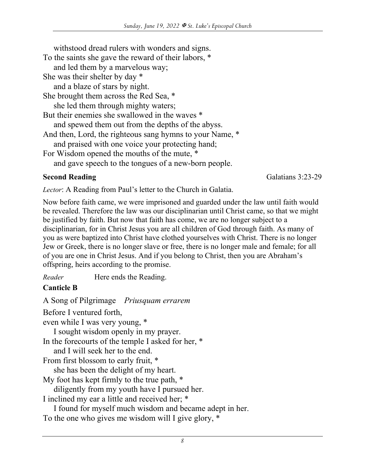withstood dread rulers with wonders and signs. To the saints she gave the reward of their labors, \* and led them by a marvelous way; She was their shelter by day \* and a blaze of stars by night. She brought them across the Red Sea, \* she led them through mighty waters; But their enemies she swallowed in the waves \* and spewed them out from the depths of the abyss. And then, Lord, the righteous sang hymns to your Name, \* and praised with one voice your protecting hand; For Wisdom opened the mouths of the mute, \* and gave speech to the tongues of a new-born people.

**Second Reading** Galatians 3:23-29

*Lector*: A Reading from Paul's letter to the Church in Galatia.

Now before faith came, we were imprisoned and guarded under the law until faith would be revealed. Therefore the law was our disciplinarian until Christ came, so that we might be justified by faith. But now that faith has come, we are no longer subject to a disciplinarian, for in Christ Jesus you are all children of God through faith. As many of you as were baptized into Christ have clothed yourselves with Christ. There is no longer Jew or Greek, there is no longer slave or free, there is no longer male and female; for all of you are one in Christ Jesus. And if you belong to Christ, then you are Abraham's offspring, heirs according to the promise.

*Reader* Here ends the Reading.

#### **Canticle B**

A Song of Pilgrimage *Priusquam errarem*

Before I ventured forth,

even while I was very young, \*

I sought wisdom openly in my prayer.

In the forecourts of the temple I asked for her, \*

and I will seek her to the end.

From first blossom to early fruit, \*

she has been the delight of my heart.

My foot has kept firmly to the true path, \*

diligently from my youth have I pursued her.

I inclined my ear a little and received her; \*

I found for myself much wisdom and became adept in her.

To the one who gives me wisdom will I give glory, \*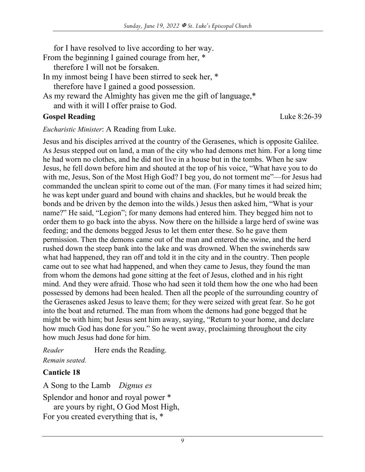for I have resolved to live according to her way. From the beginning I gained courage from her, \*

therefore I will not be forsaken.

- In my inmost being I have been stirred to seek her, \* therefore have I gained a good possession.
- As my reward the Almighty has given me the gift of language,\* and with it will I offer praise to God.

#### **Gospel Reading** Luke 8:26-39

#### *Eucharistic Minister*: A Reading from Luke.

Jesus and his disciples arrived at the country of the Gerasenes, which is opposite Galilee. As Jesus stepped out on land, a man of the city who had demons met him. For a long time he had worn no clothes, and he did not live in a house but in the tombs. When he saw Jesus, he fell down before him and shouted at the top of his voice, "What have you to do with me, Jesus, Son of the Most High God? I beg you, do not torment me"—for Jesus had commanded the unclean spirit to come out of the man. (For many times it had seized him; he was kept under guard and bound with chains and shackles, but he would break the bonds and be driven by the demon into the wilds.) Jesus then asked him, "What is your name?" He said, "Legion"; for many demons had entered him. They begged him not to order them to go back into the abyss. Now there on the hillside a large herd of swine was feeding; and the demons begged Jesus to let them enter these. So he gave them permission. Then the demons came out of the man and entered the swine, and the herd rushed down the steep bank into the lake and was drowned. When the swineherds saw what had happened, they ran off and told it in the city and in the country. Then people came out to see what had happened, and when they came to Jesus, they found the man from whom the demons had gone sitting at the feet of Jesus, clothed and in his right mind. And they were afraid. Those who had seen it told them how the one who had been possessed by demons had been healed. Then all the people of the surrounding country of the Gerasenes asked Jesus to leave them; for they were seized with great fear. So he got into the boat and returned. The man from whom the demons had gone begged that he might be with him; but Jesus sent him away, saying, "Return to your home, and declare how much God has done for you." So he went away, proclaiming throughout the city how much Jesus had done for him.

*Reader* Here ends the Reading. *Remain seated.*

#### **Canticle 18**

A Song to the Lamb *Dignus es*

Splendor and honor and royal power \* are yours by right, O God Most High, For you created everything that is, \*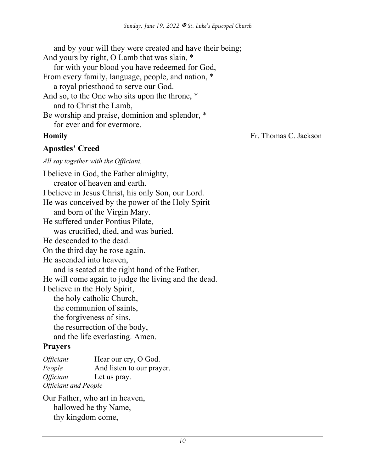and by your will they were created and have their being; And yours by right, O Lamb that was slain, \* for with your blood you have redeemed for God, From every family, language, people, and nation, \* a royal priesthood to serve our God. And so, to the One who sits upon the throne, \* and to Christ the Lamb, Be worship and praise, dominion and splendor, \* for ever and for evermore.

#### **Apostles' Creed**

*All say together with the Officiant.*

I believe in God, the Father almighty, creator of heaven and earth. I believe in Jesus Christ, his only Son, our Lord. He was conceived by the power of the Holy Spirit and born of the Virgin Mary. He suffered under Pontius Pilate, was crucified, died, and was buried. He descended to the dead. On the third day he rose again. He ascended into heaven, and is seated at the right hand of the Father. He will come again to judge the living and the dead. I believe in the Holy Spirit, the holy catholic Church, the communion of saints, the forgiveness of sins, the resurrection of the body, and the life everlasting. Amen.

#### **Prayers**

*Officiant* Hear our cry, O God. *People* And listen to our prayer. *Officiant* Let us pray. *Officiant and People*

Our Father, who art in heaven, hallowed be thy Name, thy kingdom come,

**Homily** Fr. Thomas C. Jackson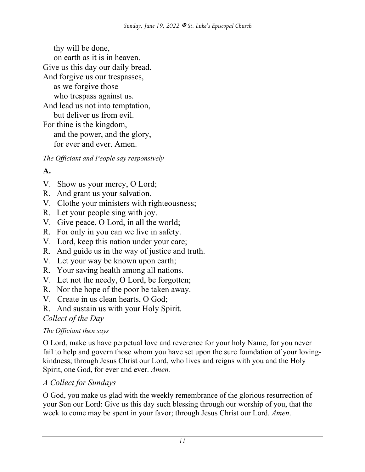thy will be done, on earth as it is in heaven. Give us this day our daily bread. And forgive us our trespasses, as we forgive those who trespass against us. And lead us not into temptation, but deliver us from evil. For thine is the kingdom, and the power, and the glory, for ever and ever. Amen.

*The Officiant and People say responsively*

## **A.**

- V. Show us your mercy, O Lord;
- R. And grant us your salvation.
- V. Clothe your ministers with righteousness;
- R. Let your people sing with joy.
- V. Give peace, O Lord, in all the world;
- R. For only in you can we live in safety.
- V. Lord, keep this nation under your care;
- R. And guide us in the way of justice and truth.
- V. Let your way be known upon earth;
- R. Your saving health among all nations.
- V. Let not the needy, O Lord, be forgotten;
- R. Nor the hope of the poor be taken away.
- V. Create in us clean hearts, O God;
- R. And sustain us with your Holy Spirit.

*Collect of the Day*

#### *The Officiant then says*

O Lord, make us have perpetual love and reverence for your holy Name, for you never fail to help and govern those whom you have set upon the sure foundation of your lovingkindness; through Jesus Christ our Lord, who lives and reigns with you and the Holy Spirit, one God, for ever and ever. *Amen.*

#### *A Collect for Sundays*

O God, you make us glad with the weekly remembrance of the glorious resurrection of your Son our Lord: Give us this day such blessing through our worship of you, that the week to come may be spent in your favor; through Jesus Christ our Lord. *Amen*.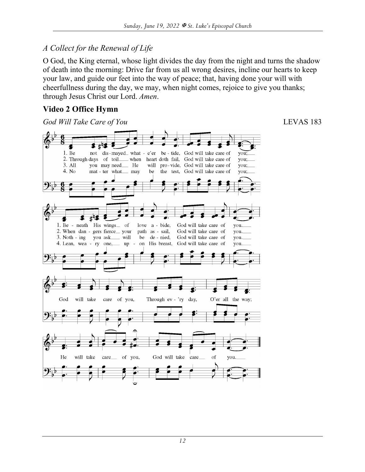#### *A Collect for the Renewal of Life*

O God, the King eternal, whose light divides the day from the night and turns the shadow of death into the morning: Drive far from us all wrong desires, incline our hearts to keep your law, and guide our feet into the way of peace; that, having done your will with cheerfullness during the day, we may, when night comes, rejoice to give you thanks; through Jesus Christ our Lord. *Amen*.

#### **Video 2 Office Hymn**

*God Will Take Care of You* LEVAS 183

not dis-mayed\_what - e'er be - tide, God will take care of  $1. Be$  $\overline{\text{vow}}$ 2. Through days of toil\_ when heart doth fail, God will take care of you; 3. All will pro-vide. God will take care of you may need\_\_\_ He you; 4. No mat - ter what\_ may be the test, God will take care of you: t<sup>h</sup>2 1. Be - neath His wings of love a - bide, God will take care of you. path as - sail, 2. When dan - gers fierce \_\_ your God will take care of you.  $3.$  Noth - ing you ask  $\equiv$  will be de - nied, God will take care of you. 4. Lean, wea - ry one,  $\mu$  up on His breast, God will take care of you. God will take of you, Through ev - 'ry day, O'er all the way; care He will take care\_ of you, God will take care of you.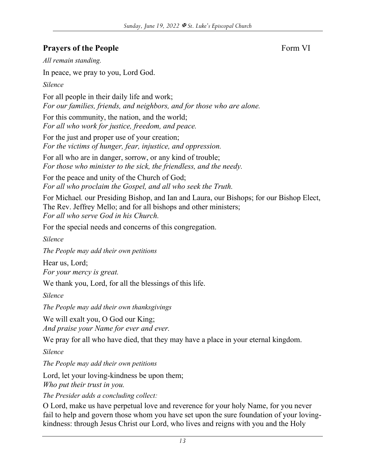#### **Prayers of the People** Form VI

*All remain standing.*

In peace, we pray to you, Lord God.

*Silence*

For all people in their daily life and work; *For our families, friends, and neighbors, and for those who are alone.*

For this community, the nation, and the world; *For all who work for justice, freedom, and peace.*

For the just and proper use of your creation; *For the victims of hunger, fear, injustice, and oppression.*

For all who are in danger, sorrow, or any kind of trouble; *For those who minister to the sick, the friendless, and the needy.*

For the peace and unity of the Church of God;

*For all who proclaim the Gospel, and all who seek the Truth.*

For Michael*.* our Presiding Bishop, and Ian and Laura, our Bishops; for our Bishop Elect, The Rev. Jeffrey Mello; and for all bishops and other ministers; *For all who serve God in his Church.*

For the special needs and concerns of this congregation.

*Silence*

*The People may add their own petitions*

Hear us, Lord; *For your mercy is great.*

We thank you, Lord, for all the blessings of this life.

*Silence*

*The People may add their own thanksgivings*

We will exalt you, O God our King; *And praise your Name for ever and ever.*

We pray for all who have died, that they may have a place in your eternal kingdom.

*Silence*

*The People may add their own petitions*

Lord, let your loving-kindness be upon them;

*Who put their trust in you.*

*The Presider adds a concluding collect:*

O Lord, make us have perpetual love and reverence for your holy Name, for you never fail to help and govern those whom you have set upon the sure foundation of your lovingkindness: through Jesus Christ our Lord, who lives and reigns with you and the Holy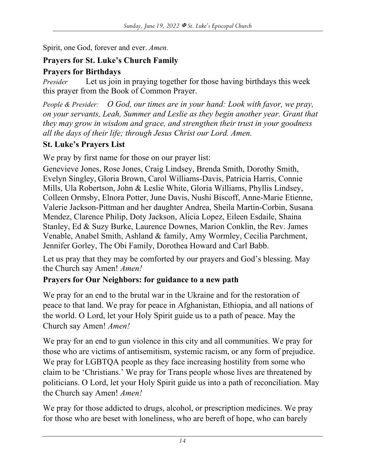Spirit, one God, forever and ever. *Amen.*

# **Prayers for St. Luke's Church Family**

# **Prayers for Birthdays**

*Presider* Let us join in praying together for those having birthdays this week this prayer from the Book of Common Prayer.

*People & Presider: O God, our times are in your hand: Look with favor, we pray, on your servants, Leah, Summer and Leslie as they begin another year. Grant that they may grow in wisdom and grace, and strengthen their trust in your goodness all the days of their life; through Jesus Christ our Lord. Amen.*

# **St. Luke's Prayers List**

We pray by first name for those on our prayer list:

Genevieve Jones, Rose Jones, Craig Lindsey, Brenda Smith, Dorothy Smith, Evelyn Singley, Gloria Brown, Carol Williams-Davis, Patricia Harris, Connie Mills, Ula Robertson, John & Leslie White, Gloria Williams, Phyllis Lindsey, Colleen Ormsby, Elnora Potter, June Davis, Nushi Biscoff, Anne-Marie Etienne, Valerie Jackson-Pittman and her daughter Andrea, Sheila Martin-Corbin, Susana Mendez, Clarence Philip, Doty Jackson, Alicia Lopez, Eileen Esdaile, Shaina Stanley, Ed & Suzy Burke, Laurence Downes, Marion Conklin, the Rev. James Venable, Anabel Smith, Ashland & family, Amy Wormley, Cecilia Parchment, Jennifer Gorley, The Obi Family, Dorothea Howard and Carl Babb.

Let us pray that they may be comforted by our prayers and God's blessing. May the Church say Amen! *Amen!*

# **Prayers for Our Neighbors: for guidance to a new path**

We pray for an end to the brutal war in the Ukraine and for the restoration of peace to that land. We pray for peace in Afghanistan, Ethiopia, and all nations of the world. O Lord, let your Holy Spirit guide us to a path of peace. May the Church say Amen! *Amen!*

We pray for an end to gun violence in this city and all communities. We pray for those who are victims of antisemitism, systemic racism, or any form of prejudice. We pray for LGBTQA people as they face increasing hostility from some who claim to be 'Christians.' We pray for Trans people whose lives are threatened by politicians. O Lord, let your Holy Spirit guide us into a path of reconciliation. May the Church say Amen! *Amen!*

We pray for those addicted to drugs, alcohol, or prescription medicines. We pray for those who are beset with loneliness, who are bereft of hope, who can barely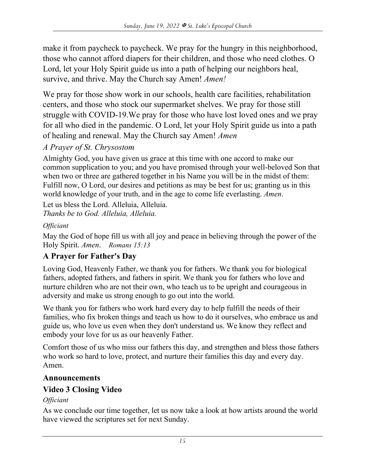make it from paycheck to paycheck. We pray for the hungry in this neighborhood, those who cannot afford diapers for their children, and those who need clothes. O Lord, let your Holy Spirit guide us into a path of helping our neighbors heal, survive, and thrive. May the Church say Amen! *Amen!*

We pray for those show work in our schools, health care facilities, rehabilitation centers, and those who stock our supermarket shelves. We pray for those still struggle with COVID-19.We pray for those who have lost loved ones and we pray for all who died in the pandemic. O Lord, let your Holy Spirit guide us into a path of healing and renewal. May the Church say Amen! *Amen*

### *A Prayer of St. Chrysostom*

Almighty God, you have given us grace at this time with one accord to make our common supplication to you; and you have promised through your well-beloved Son that when two or three are gathered together in his Name you will be in the midst of them: Fulfill now, O Lord, our desires and petitions as may be best for us; granting us in this world knowledge of your truth, and in the age to come life everlasting. *Amen*.

Let us bless the Lord. Alleluia, Alleluia. *Thanks be to God. Alleluia, Alleluia.*

#### *Officiant*

May the God of hope fill us with all joy and peace in believing through the power of the Holy Spirit. *Amen*. *Romans 15:13*

#### **A Prayer for Father's Day**

Loving God, Heavenly Father, we thank you for fathers. We thank you for biological fathers, adopted fathers, and fathers in spirit. We thank you for fathers who love and nurture children who are not their own, who teach us to be upright and courageous in adversity and make us strong enough to go out into the world.

We thank you for fathers who work hard every day to help fulfill the needs of their families, who fix broken things and teach us how to do it ourselves, who embrace us and guide us, who love us even when they don't understand us. We know they reflect and embody your love for us as our heavenly Father.

Comfort those of us who miss our fathers this day, and strengthen and bless those fathers who work so hard to love, protect, and nurture their families this day and every day. Amen.

#### **Announcements**

#### **Video 3 Closing Video**

#### *Officiant*

As we conclude our time together, let us now take a look at how artists around the world have viewed the scriptures set for next Sunday.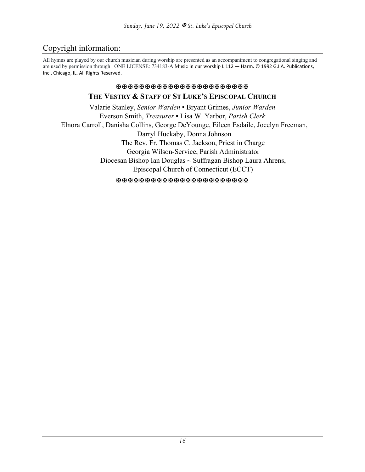#### Copyright information:

All hymns are played by our church musician during worship are presented as an accompaniment to congregational singing and are used by permission through ONE LICENSE: 734183-A Music in our worship L 112 — Harm. © 1992 G.I.A. Publications, Inc., Chicago, IL. All Rights Reserved.

#### **THE VESTRY & STAFF OF ST LUKE'S EPISCOPAL CHURCH**

Valarie Stanley, *Senior Warden* ▪ Bryant Grimes, *Junior Warden*  Everson Smith, *Treasurer* ▪ Lisa W. Yarbor, *Parish Clerk* Elnora Carroll, Danisha Collins, George DeYounge, Eileen Esdaile, Jocelyn Freeman, Darryl Huckaby, Donna Johnson The Rev. Fr. Thomas C. Jackson, Priest in Charge Georgia Wilson-Service, Parish Administrator Diocesan Bishop Ian Douglas ~ Suffragan Bishop Laura Ahrens, Episcopal Church of Connecticut (ECCT) **RRRRRRRRRRRRRRRRRRRRRRR**